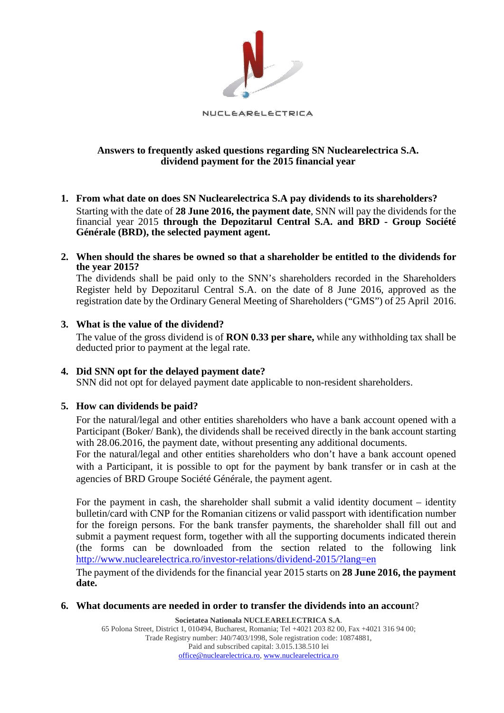

# **Answers to frequently asked questions regarding SN Nuclearelectrica S.A. dividend payment for the 2015 financial year**

- **1. From what date on does SN Nuclearelectrica S.A pay dividends to its shareholders?**  Starting with the date of **28 June 2016, the payment date**, SNN will pay the dividends for the financial year 2015 **through the Depozitarul Central S.A. and BRD - Group Société Générale (BRD), the selected payment agent.**
- **2. When should the shares be owned so that a shareholder be entitled to the dividends for the year 2015?**

The dividends shall be paid only to the SNN's shareholders recorded in the Shareholders Register held by Depozitarul Central S.A. on the date of 8 June 2016, approved as the registration date by the Ordinary General Meeting of Shareholders ("GMS") of 25 April 2016.

# **3. What is the value of the dividend?**

The value of the gross dividend is of **RON 0.33 per share,** while any withholding tax shall be deducted prior to payment at the legal rate.

# **4. Did SNN opt for the delayed payment date?**

SNN did not opt for delayed payment date applicable to non-resident shareholders.

# **5. How can dividends be paid?**

For the natural/legal and other entities shareholders who have a bank account opened with a Participant (Boker/ Bank), the dividends shall be received directly in the bank account starting with 28.06.2016, the payment date, without presenting any additional documents.

For the natural/legal and other entities shareholders who don't have a bank account opened with a Participant, it is possible to opt for the payment by bank transfer or in cash at the agencies of BRD Groupe Société Générale, the payment agent.

For the payment in cash, the shareholder shall submit a valid identity document – identity bulletin/card with CNP for the Romanian citizens or valid passport with identification number for the foreign persons. For the bank transfer payments, the shareholder shall fill out and submit a payment request form, together with all the supporting documents indicated therein (the forms can be downloaded from the section related to the following link <http://www.nuclearelectrica.ro/investor-relations/dividend-2015/?lang=en>

The payment of the dividends for the financial year 2015 starts on **28 June 2016, the payment date.** 

# **6. What documents are needed in order to transfer the dividends into an accoun**t?

**Societatea Nationala NUCLEARELECTRICA S.A**. 65 Polona Street, District 1, 010494, Bucharest, Romania; Tel +4021 203 82 00, Fax +4021 316 94 00; Trade Registry number: J40/7403/1998, Sole registration code: 10874881, Paid and subscribed capital: 3.015.138.510 lei [office@nuclearelectrica.ro,](mailto:office@nuclearelectrica.ro) [www.nuclearelectrica.ro](http://www.nuclearelectrica.ro/)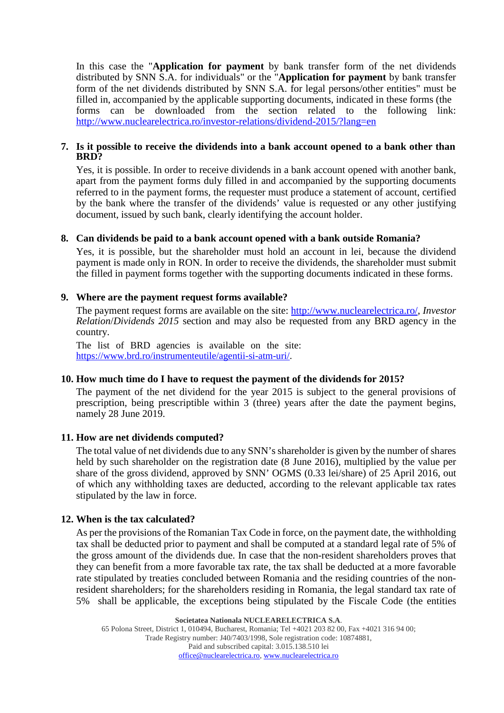In this case the "**Application for payment** by bank transfer form of the net dividends distributed by SNN S.A. for individuals" or the "**Application for payment** by bank transfer form of the net dividends distributed by SNN S.A. for legal persons/other entities" must be filled in, accompanied by the applicable supporting documents, indicated in these forms (the forms can be downloaded from the section related to the following link: <http://www.nuclearelectrica.ro/investor-relations/dividend-2015/?lang=en>

### **7. Is it possible to receive the dividends into a bank account opened to a bank other than BRD?**

Yes, it is possible. In order to receive dividends in a bank account opened with another bank, apart from the payment forms duly filled in and accompanied by the supporting documents referred to in the payment forms, the requester must produce a statement of account, certified by the bank where the transfer of the dividends' value is requested or any other justifying document, issued by such bank, clearly identifying the account holder.

# **8. Can dividends be paid to a bank account opened with a bank outside Romania?**

Yes, it is possible, but the shareholder must hold an account in lei, because the dividend payment is made only in RON. In order to receive the dividends, the shareholder must submit the filled in payment forms together with the supporting documents indicated in these forms.

### **9. Where are the payment request forms available?**

The payment request forms are available on the site: http://www.nuclearelectrica.ro/, *Investor Relation*/*Dividends 2015* section and may also be requested from any BRD agency in the country.

The list of BRD agencies is available on the site: https://www.brd.ro/instrumenteutile/agentii-si-atm-uri/.

# **10. How much time do I have to request the payment of the dividends for 2015?**

The payment of the net dividend for the year 2015 is subject to the general provisions of prescription, being prescriptible within 3 (three) years after the date the payment begins, namely 28 June 2019.

# **11. How are net dividends computed?**

The total value of net dividends due to any SNN's shareholder is given by the number of shares held by such shareholder on the registration date (8 June 2016), multiplied by the value per share of the gross dividend, approved by SNN' OGMS (0.33 lei/share) of 25 April 2016, out of which any withholding taxes are deducted, according to the relevant applicable tax rates stipulated by the law in force.

# **12. When is the tax calculated?**

As per the provisions of the Romanian Tax Code in force, on the payment date, the withholding tax shall be deducted prior to payment and shall be computed at a standard legal rate of 5% of the gross amount of the dividends due. In case that the non-resident shareholders proves that they can benefit from a more favorable tax rate, the tax shall be deducted at a more favorable rate stipulated by treaties concluded between Romania and the residing countries of the nonresident shareholders; for the shareholders residing in Romania, the legal standard tax rate of 5% shall be applicable, the exceptions being stipulated by the Fiscale Code (the entities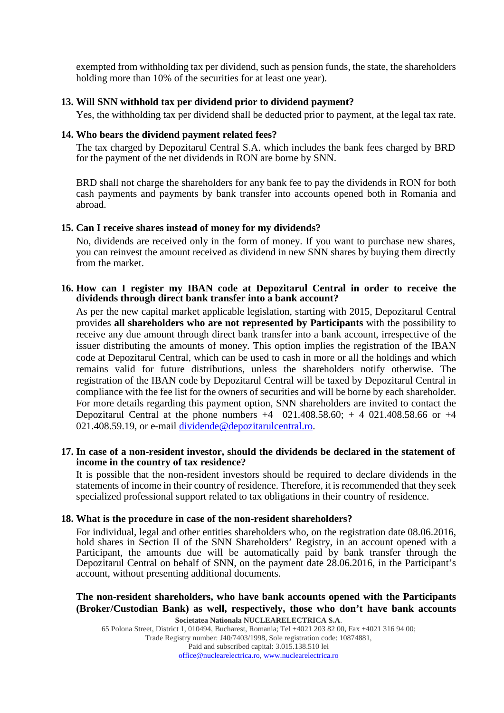exempted from withholding tax per dividend, such as pension funds, the state, the shareholders holding more than 10% of the securities for at least one year).

### **13. Will SNN withhold tax per dividend prior to dividend payment?**

Yes, the withholding tax per dividend shall be deducted prior to payment, at the legal tax rate.

#### **14. Who bears the dividend payment related fees?**

The tax charged by Depozitarul Central S.A. which includes the bank fees charged by BRD for the payment of the net dividends in RON are borne by SNN.

BRD shall not charge the shareholders for any bank fee to pay the dividends in RON for both cash payments and payments by bank transfer into accounts opened both in Romania and abroad.

#### **15. Can I receive shares instead of money for my dividends?**

No, dividends are received only in the form of money. If you want to purchase new shares, you can reinvest the amount received as dividend in new SNN shares by buying them directly from the market.

### **16. How can I register my IBAN code at Depozitarul Central in order to receive the dividends through direct bank transfer into a bank account?**

As per the new capital market applicable legislation, starting with 2015, Depozitarul Central provides **all shareholders who are not represented by Participants** with the possibility to receive any due amount through direct bank transfer into a bank account, irrespective of the issuer distributing the amounts of money. This option implies the registration of the IBAN code at Depozitarul Central, which can be used to cash in more or all the holdings and which remains valid for future distributions, unless the shareholders notify otherwise. The registration of the IBAN code by Depozitarul Central will be taxed by Depozitarul Central in compliance with the fee list for the owners of securities and will be borne by each shareholder. For more details regarding this payment option, SNN shareholders are invited to contact the Depozitarul Central at the phone numbers  $+4$  021.408.58.60;  $+4$  021.408.58.66 or  $+4$ 021.408.59.19, or e-mail dividende@depozitarulcentral.ro.

### **17. In case of a non-resident investor, should the dividends be declared in the statement of income in the country of tax residence?**

It is possible that the non-resident investors should be required to declare dividends in the statements of income in their country of residence. Therefore, it is recommended that they seek specialized professional support related to tax obligations in their country of residence.

#### **18. What is the procedure in case of the non-resident shareholders?**

For individual, legal and other entities shareholders who, on the registration date 08.06.2016, hold shares in Section II of the SNN Shareholders' Registry, in an account opened with a Participant, the amounts due will be automatically paid by bank transfer through the Depozitarul Central on behalf of SNN, on the payment date 28.06.2016, in the Participant's account, without presenting additional documents.

### **Societatea Nationala NUCLEARELECTRICA S.A**. **The non-resident shareholders, who have bank accounts opened with the Participants (Broker/Custodian Bank) as well, respectively, those who don't have bank accounts**

65 Polona Street, District 1, 010494, Bucharest, Romania; Tel +4021 203 82 00, Fax +4021 316 94 00; Trade Registry number: J40/7403/1998, Sole registration code: 10874881, Paid and subscribed capital: 3.015.138.510 lei [office@nuclearelectrica.ro,](mailto:office@nuclearelectrica.ro) [www.nuclearelectrica.ro](http://www.nuclearelectrica.ro/)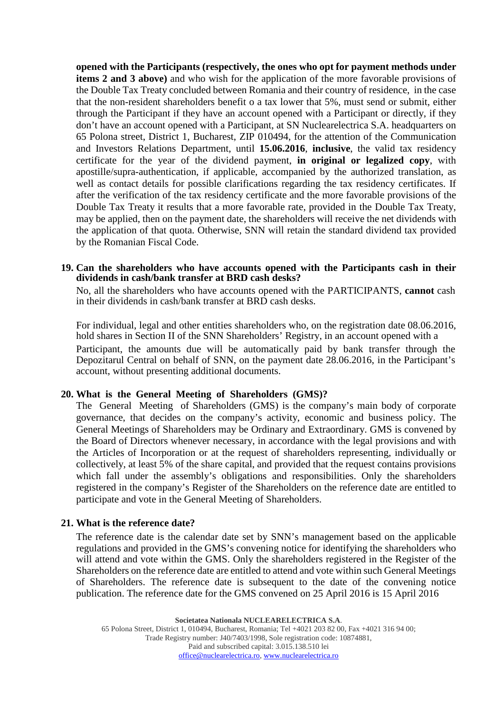**opened with the Participants (respectively, the ones who opt for payment methods under items 2 and 3 above)** and who wish for the application of the more favorable provisions of the Double Tax Treaty concluded between Romania and their country of residence, in the case that the non-resident shareholders benefit o a tax lower that 5%, must send or submit, either through the Participant if they have an account opened with a Participant or directly, if they don't have an account opened with a Participant, at SN Nuclearelectrica S.A. headquarters on 65 Polona street, District 1, Bucharest, ZIP 010494, for the attention of the Communication and Investors Relations Department, until **15.06.2016**, **inclusive**, the valid tax residency certificate for the year of the dividend payment, **in original or legalized copy**, with apostille/supra-authentication, if applicable, accompanied by the authorized translation, as well as contact details for possible clarifications regarding the tax residency certificates. If after the verification of the tax residency certificate and the more favorable provisions of the Double Tax Treaty it results that a more favorable rate, provided in the Double Tax Treaty, may be applied, then on the payment date, the shareholders will receive the net dividends with the application of that quota. Otherwise, SNN will retain the standard dividend tax provided by the Romanian Fiscal Code.

### **19. Can the shareholders who have accounts opened with the Participants cash in their dividends in cash/bank transfer at BRD cash desks?**

No, all the shareholders who have accounts opened with the PARTICIPANTS, **cannot** cash in their dividends in cash/bank transfer at BRD cash desks.

For individual, legal and other entities shareholders who, on the registration date 08.06.2016, hold shares in Section II of the SNN Shareholders' Registry, in an account opened with a Participant, the amounts due will be automatically paid by bank transfer through the Depozitarul Central on behalf of SNN, on the payment date 28.06.2016, in the Participant's account, without presenting additional documents.

#### **20. What is the General Meeting of Shareholders (GMS)?**

The General Meeting of Shareholders (GMS) is the company's main body of corporate governance, that decides on the company's activity, economic and business policy. The General Meetings of Shareholders may be Ordinary and Extraordinary. GMS is convened by the Board of Directors whenever necessary, in accordance with the legal provisions and with the Articles of Incorporation or at the request of shareholders representing, individually or collectively, at least 5% of the share capital, and provided that the request contains provisions which fall under the assembly's obligations and responsibilities. Only the shareholders registered in the company's Register of the Shareholders on the reference date are entitled to participate and vote in the General Meeting of Shareholders.

#### **21. What is the reference date?**

The reference date is the calendar date set by SNN's management based on the applicable regulations and provided in the GMS's convening notice for identifying the shareholders who will attend and vote within the GMS. Only the shareholders registered in the Register of the Shareholders on the reference date are entitled to attend and vote within such General Meetings of Shareholders. The reference date is subsequent to the date of the convening notice publication. The reference date for the GMS convened on 25 April 2016 is 15 April 2016

**Societatea Nationala NUCLEARELECTRICA S.A**. 65 Polona Street, District 1, 010494, Bucharest, Romania; Tel +4021 203 82 00, Fax +4021 316 94 00; Trade Registry number: J40/7403/1998, Sole registration code: 10874881, Paid and subscribed capital: 3.015.138.510 lei [office@nuclearelectrica.ro,](mailto:office@nuclearelectrica.ro) [www.nuclearelectrica.ro](http://www.nuclearelectrica.ro/)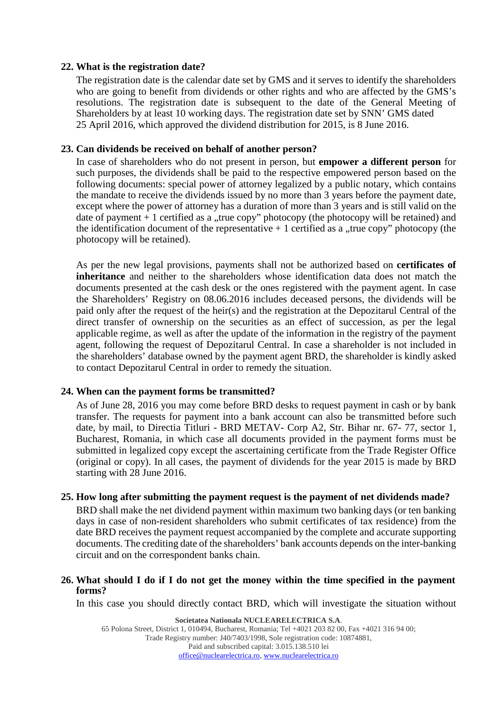### **22. What is the registration date?**

The registration date is the calendar date set by GMS and it serves to identify the shareholders who are going to benefit from dividends or other rights and who are affected by the GMS's resolutions. The registration date is subsequent to the date of the General Meeting of Shareholders by at least 10 working days. The registration date set by SNN' GMS dated 25 April 2016, which approved the dividend distribution for 2015, is 8 June 2016.

### **23. Can dividends be received on behalf of another person?**

In case of shareholders who do not present in person, but **empower a different person** for such purposes, the dividends shall be paid to the respective empowered person based on the following documents: special power of attorney legalized by a public notary, which contains the mandate to receive the dividends issued by no more than 3 years before the payment date, except where the power of attorney has a duration of more than 3 years and is still valid on the date of payment  $+1$  certified as a "true copy" photocopy (the photocopy will be retained) and the identification document of the representative  $+1$  certified as a "true copy" photocopy (the photocopy will be retained).

As per the new legal provisions, payments shall not be authorized based on **certificates of inheritance** and neither to the shareholders whose identification data does not match the documents presented at the cash desk or the ones registered with the payment agent. In case the Shareholders' Registry on 08.06.2016 includes deceased persons, the dividends will be paid only after the request of the heir(s) and the registration at the Depozitarul Central of the direct transfer of ownership on the securities as an effect of succession, as per the legal applicable regime, as well as after the update of the information in the registry of the payment agent, following the request of Depozitarul Central. In case a shareholder is not included in the shareholders' database owned by the payment agent BRD, the shareholder is kindly asked to contact Depozitarul Central in order to remedy the situation.

# **24. When can the payment forms be transmitted?**

As of June 28, 2016 you may come before BRD desks to request payment in cash or by bank transfer. The requests for payment into a bank account can also be transmitted before such date, by mail, to Directia Titluri - BRD METAV- Corp A2, Str. Bihar nr. 67- 77, sector 1, Bucharest, Romania, in which case all documents provided in the payment forms must be submitted in legalized copy except the ascertaining certificate from the Trade Register Office (original or copy). In all cases, the payment of dividends for the year 2015 is made by BRD starting with 28 June 2016.

#### **25. How long after submitting the payment request is the payment of net dividends made?**

BRD shall make the net dividend payment within maximum two banking days (or ten banking days in case of non-resident shareholders who submit certificates of tax residence) from the date BRD receives the payment request accompanied by the complete and accurate supporting documents. The crediting date of the shareholders' bank accounts depends on the inter-banking circuit and on the correspondent banks chain.

### **26. What should I do if I do not get the money within the time specified in the payment forms?**

In this case you should directly contact BRD, which will investigate the situation without

**Societatea Nationala NUCLEARELECTRICA S.A**. 65 Polona Street, District 1, 010494, Bucharest, Romania; Tel +4021 203 82 00, Fax +4021 316 94 00; Trade Registry number: J40/7403/1998, Sole registration code: 10874881, Paid and subscribed capital: 3.015.138.510 lei [office@nuclearelectrica.ro,](mailto:office@nuclearelectrica.ro) [www.nuclearelectrica.ro](http://www.nuclearelectrica.ro/)